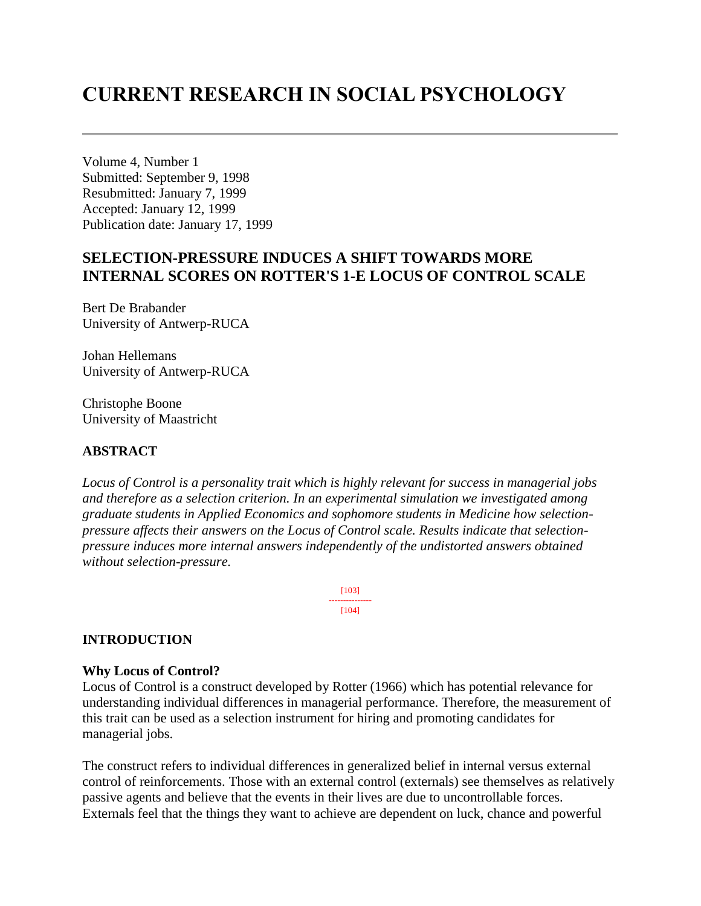# **CURRENT RESEARCH IN SOCIAL PSYCHOLOGY**

Volume 4, Number 1 Submitted: September 9, 1998 Resubmitted: January 7, 1999 Accepted: January 12, 1999 Publication date: January 17, 1999

# **SELECTION-PRESSURE INDUCES A SHIFT TOWARDS MORE INTERNAL SCORES ON ROTTER'S 1-E LOCUS OF CONTROL SCALE**

Bert De Brabander University of Antwerp-RUCA

Johan Hellemans University of Antwerp-RUCA

Christophe Boone University of Maastricht

### **ABSTRACT**

*Locus of Control is a personality trait which is highly relevant for success in managerial jobs and therefore as a selection criterion. In an experimental simulation we investigated among graduate students in Applied Economics and sophomore students in Medicine how selectionpressure affects their answers on the Locus of Control scale. Results indicate that selectionpressure induces more internal answers independently of the undistorted answers obtained without selection-pressure.*

> [103] --------------- [104]

### **INTRODUCTION**

#### **Why Locus of Control?**

Locus of Control is a construct developed by Rotter (1966) which has potential relevance for understanding individual differences in managerial performance. Therefore, the measurement of this trait can be used as a selection instrument for hiring and promoting candidates for managerial jobs.

The construct refers to individual differences in generalized belief in internal versus external control of reinforcements. Those with an external control (externals) see themselves as relatively passive agents and believe that the events in their lives are due to uncontrollable forces. Externals feel that the things they want to achieve are dependent on luck, chance and powerful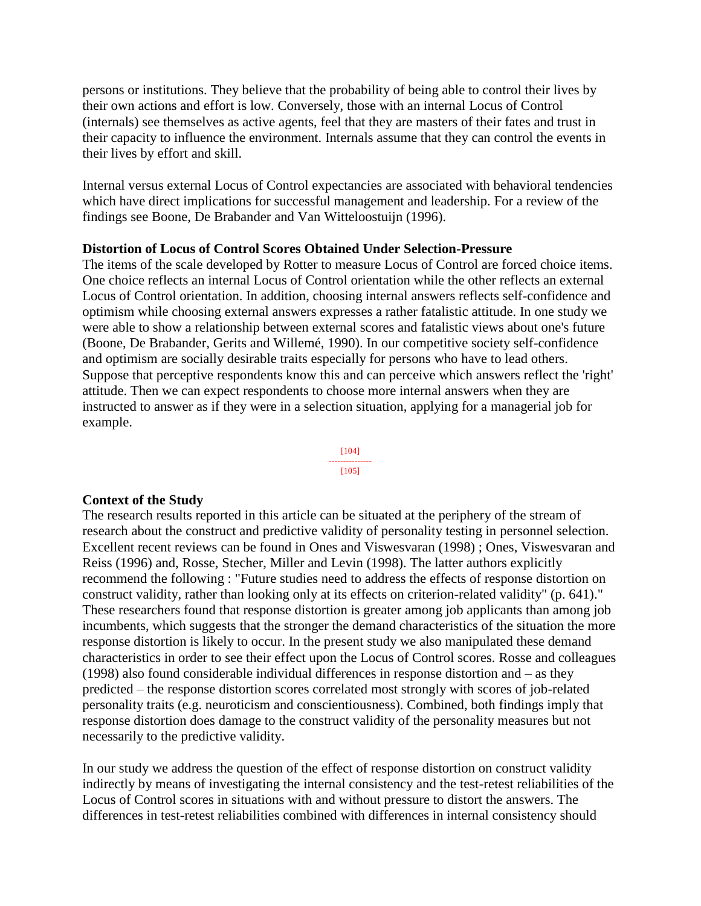persons or institutions. They believe that the probability of being able to control their lives by their own actions and effort is low. Conversely, those with an internal Locus of Control (internals) see themselves as active agents, feel that they are masters of their fates and trust in their capacity to influence the environment. Internals assume that they can control the events in their lives by effort and skill.

Internal versus external Locus of Control expectancies are associated with behavioral tendencies which have direct implications for successful management and leadership. For a review of the findings see Boone, De Brabander and Van Witteloostuijn (1996).

### **Distortion of Locus of Control Scores Obtained Under Selection-Pressure**

The items of the scale developed by Rotter to measure Locus of Control are forced choice items. One choice reflects an internal Locus of Control orientation while the other reflects an external Locus of Control orientation. In addition, choosing internal answers reflects self-confidence and optimism while choosing external answers expresses a rather fatalistic attitude. In one study we were able to show a relationship between external scores and fatalistic views about one's future (Boone, De Brabander, Gerits and Willemé, 1990). In our competitive society self-confidence and optimism are socially desirable traits especially for persons who have to lead others. Suppose that perceptive respondents know this and can perceive which answers reflect the 'right' attitude. Then we can expect respondents to choose more internal answers when they are instructed to answer as if they were in a selection situation, applying for a managerial job for example.

> [104] --------------- [105]

#### **Context of the Study**

The research results reported in this article can be situated at the periphery of the stream of research about the construct and predictive validity of personality testing in personnel selection. Excellent recent reviews can be found in Ones and Viswesvaran (1998) ; Ones, Viswesvaran and Reiss (1996) and, Rosse, Stecher, Miller and Levin (1998). The latter authors explicitly recommend the following : "Future studies need to address the effects of response distortion on construct validity, rather than looking only at its effects on criterion-related validity" (p. 641)." These researchers found that response distortion is greater among job applicants than among job incumbents, which suggests that the stronger the demand characteristics of the situation the more response distortion is likely to occur. In the present study we also manipulated these demand characteristics in order to see their effect upon the Locus of Control scores. Rosse and colleagues (1998) also found considerable individual differences in response distortion and – as they predicted – the response distortion scores correlated most strongly with scores of job-related personality traits (e.g. neuroticism and conscientiousness). Combined, both findings imply that response distortion does damage to the construct validity of the personality measures but not necessarily to the predictive validity.

In our study we address the question of the effect of response distortion on construct validity indirectly by means of investigating the internal consistency and the test-retest reliabilities of the Locus of Control scores in situations with and without pressure to distort the answers. The differences in test-retest reliabilities combined with differences in internal consistency should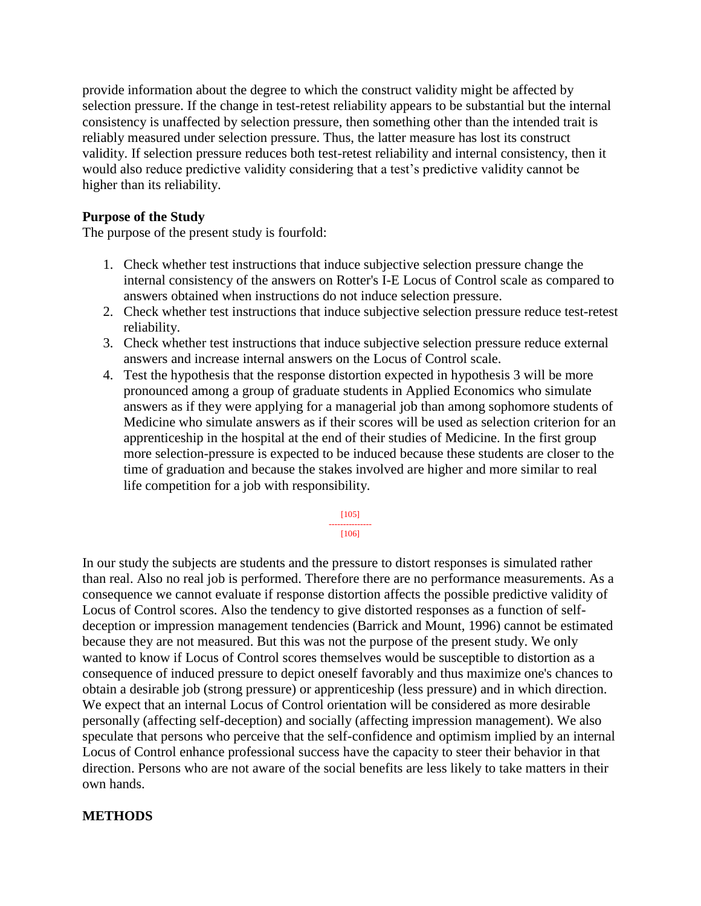provide information about the degree to which the construct validity might be affected by selection pressure. If the change in test-retest reliability appears to be substantial but the internal consistency is unaffected by selection pressure, then something other than the intended trait is reliably measured under selection pressure. Thus, the latter measure has lost its construct validity. If selection pressure reduces both test-retest reliability and internal consistency, then it would also reduce predictive validity considering that a test's predictive validity cannot be higher than its reliability.

## **Purpose of the Study**

The purpose of the present study is fourfold:

- 1. Check whether test instructions that induce subjective selection pressure change the internal consistency of the answers on Rotter's I-E Locus of Control scale as compared to answers obtained when instructions do not induce selection pressure.
- 2. Check whether test instructions that induce subjective selection pressure reduce test-retest reliability.
- 3. Check whether test instructions that induce subjective selection pressure reduce external answers and increase internal answers on the Locus of Control scale.
- 4. Test the hypothesis that the response distortion expected in hypothesis 3 will be more pronounced among a group of graduate students in Applied Economics who simulate answers as if they were applying for a managerial job than among sophomore students of Medicine who simulate answers as if their scores will be used as selection criterion for an apprenticeship in the hospital at the end of their studies of Medicine. In the first group more selection-pressure is expected to be induced because these students are closer to the time of graduation and because the stakes involved are higher and more similar to real life competition for a job with responsibility.

#### [105] ---------------

[106]

In our study the subjects are students and the pressure to distort responses is simulated rather than real. Also no real job is performed. Therefore there are no performance measurements. As a consequence we cannot evaluate if response distortion affects the possible predictive validity of Locus of Control scores. Also the tendency to give distorted responses as a function of selfdeception or impression management tendencies (Barrick and Mount, 1996) cannot be estimated because they are not measured. But this was not the purpose of the present study. We only wanted to know if Locus of Control scores themselves would be susceptible to distortion as a consequence of induced pressure to depict oneself favorably and thus maximize one's chances to obtain a desirable job (strong pressure) or apprenticeship (less pressure) and in which direction. We expect that an internal Locus of Control orientation will be considered as more desirable personally (affecting self-deception) and socially (affecting impression management). We also speculate that persons who perceive that the self-confidence and optimism implied by an internal Locus of Control enhance professional success have the capacity to steer their behavior in that direction. Persons who are not aware of the social benefits are less likely to take matters in their own hands.

### **METHODS**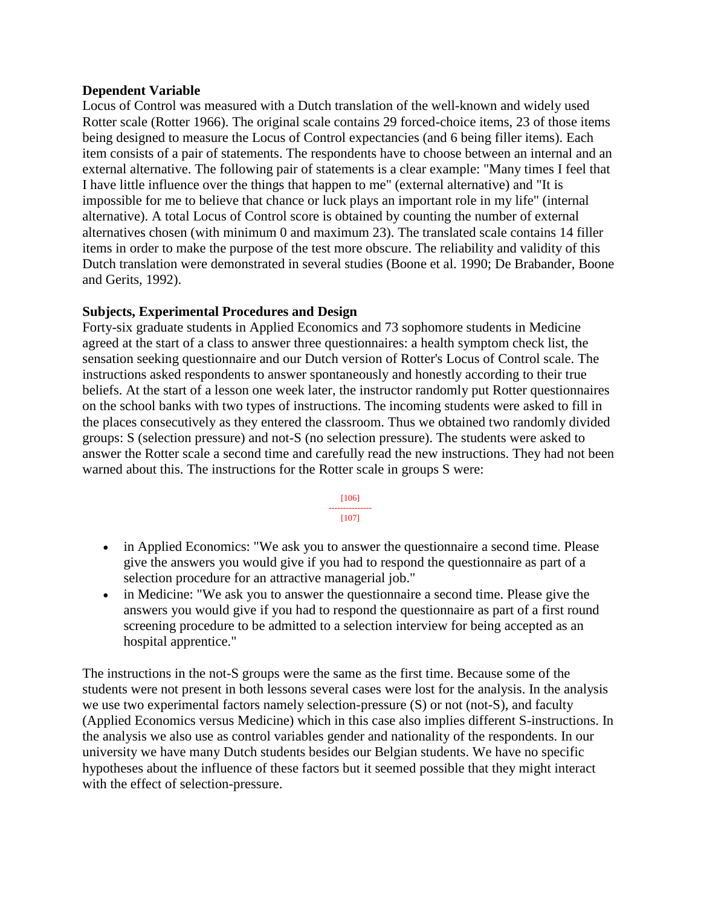#### **Dependent Variable**

Locus of Control was measured with a Dutch translation of the well-known and widely used Rotter scale (Rotter 1966). The original scale contains 29 forced-choice items, 23 of those items being designed to measure the Locus of Control expectancies (and 6 being filler items). Each item consists of a pair of statements. The respondents have to choose between an internal and an external alternative. The following pair of statements is a clear example: "Many times I feel that I have little influence over the things that happen to me" (external alternative) and "It is impossible for me to believe that chance or luck plays an important role in my life" (internal alternative). A total Locus of Control score is obtained by counting the number of external alternatives chosen (with minimum 0 and maximum 23). The translated scale contains 14 filler items in order to make the purpose of the test more obscure. The reliability and validity of this Dutch translation were demonstrated in several studies (Boone et al. 1990; De Brabander, Boone and Gerits, 1992).

### **Subjects, Experimental Procedures and Design**

Forty-six graduate students in Applied Economics and 73 sophomore students in Medicine agreed at the start of a class to answer three questionnaires: a health symptom check list, the sensation seeking questionnaire and our Dutch version of Rotter's Locus of Control scale. The instructions asked respondents to answer spontaneously and honestly according to their true beliefs. At the start of a lesson one week later, the instructor randomly put Rotter questionnaires on the school banks with two types of instructions. The incoming students were asked to fill in the places consecutively as they entered the classroom. Thus we obtained two randomly divided groups: S (selection pressure) and not-S (no selection pressure). The students were asked to answer the Rotter scale a second time and carefully read the new instructions. They had not been warned about this. The instructions for the Rotter scale in groups S were:



- in Applied Economics: "We ask you to answer the questionnaire a second time. Please give the answers you would give if you had to respond the questionnaire as part of a selection procedure for an attractive managerial job."
- in Medicine: "We ask you to answer the questionnaire a second time. Please give the answers you would give if you had to respond the questionnaire as part of a first round screening procedure to be admitted to a selection interview for being accepted as an hospital apprentice."

The instructions in the not-S groups were the same as the first time. Because some of the students were not present in both lessons several cases were lost for the analysis. In the analysis we use two experimental factors namely selection-pressure (S) or not (not-S), and faculty (Applied Economics versus Medicine) which in this case also implies different S-instructions. In the analysis we also use as control variables gender and nationality of the respondents. In our university we have many Dutch students besides our Belgian students. We have no specific hypotheses about the influence of these factors but it seemed possible that they might interact with the effect of selection-pressure.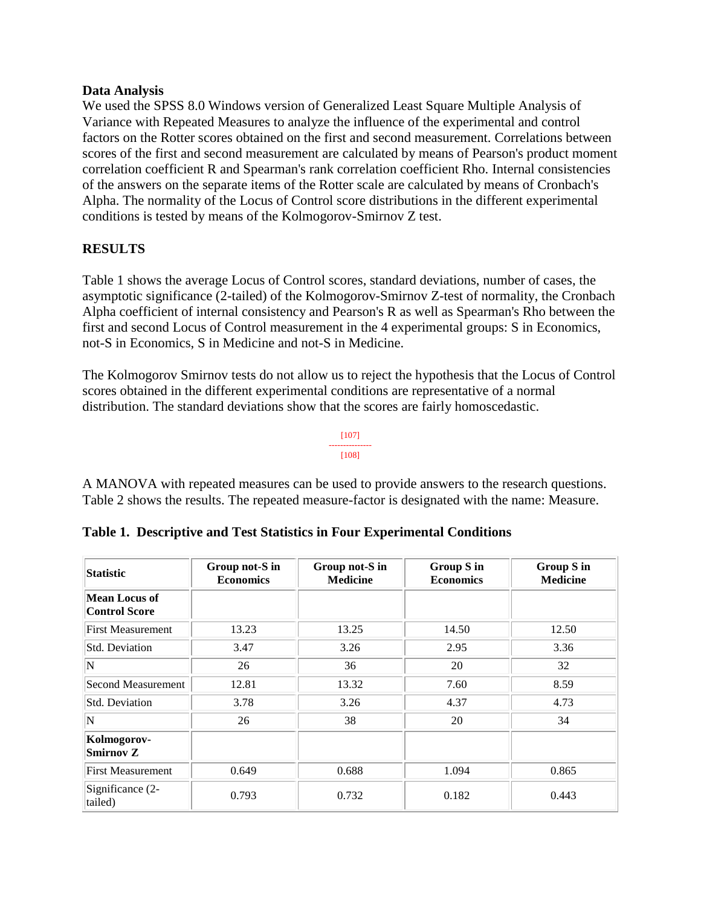#### **Data Analysis**

We used the SPSS 8.0 Windows version of Generalized Least Square Multiple Analysis of Variance with Repeated Measures to analyze the influence of the experimental and control factors on the Rotter scores obtained on the first and second measurement. Correlations between scores of the first and second measurement are calculated by means of Pearson's product moment correlation coefficient R and Spearman's rank correlation coefficient Rho. Internal consistencies of the answers on the separate items of the Rotter scale are calculated by means of Cronbach's Alpha. The normality of the Locus of Control score distributions in the different experimental conditions is tested by means of the Kolmogorov-Smirnov Z test.

# **RESULTS**

Table 1 shows the average Locus of Control scores, standard deviations, number of cases, the asymptotic significance (2-tailed) of the Kolmogorov-Smirnov Z-test of normality, the Cronbach Alpha coefficient of internal consistency and Pearson's R as well as Spearman's Rho between the first and second Locus of Control measurement in the 4 experimental groups: S in Economics, not-S in Economics, S in Medicine and not-S in Medicine.

The Kolmogorov Smirnov tests do not allow us to reject the hypothesis that the Locus of Control scores obtained in the different experimental conditions are representative of a normal distribution. The standard deviations show that the scores are fairly homoscedastic.

#### [107] --------------- [108]

A MANOVA with repeated measures can be used to provide answers to the research questions. Table 2 shows the results. The repeated measure-factor is designated with the name: Measure.

| <b>Statistic</b>                      | Group not-S in<br><b>Economics</b> | Group not-S in<br><b>Medicine</b> | Group S in<br><b>Economics</b> | Group S in<br><b>Medicine</b> |  |  |
|---------------------------------------|------------------------------------|-----------------------------------|--------------------------------|-------------------------------|--|--|
| Mean Locus of<br><b>Control Score</b> |                                    |                                   |                                |                               |  |  |
| <b>First Measurement</b>              | 13.23                              | 13.25                             | 14.50                          | 12.50                         |  |  |
| <b>Std. Deviation</b>                 | 3.47                               | 3.26                              | 2.95                           | 3.36                          |  |  |
| $\mathbf N$                           | 26                                 | 36                                | 20                             | 32                            |  |  |
| Second Measurement                    | 12.81                              | 13.32                             | 7.60                           | 8.59                          |  |  |
| <b>Std. Deviation</b>                 | 3.78                               | 3.26                              | 4.37                           | 4.73                          |  |  |
| $\mathbf N$                           | 26                                 | 38                                | 20                             | 34                            |  |  |
| Kolmogorov-<br>Smirnov Z              |                                    |                                   |                                |                               |  |  |
| <b>First Measurement</b>              | 0.649                              | 0.688                             | 1.094                          | 0.865                         |  |  |
| Significance (2-<br>0.793<br>tailed)  |                                    | 0.732                             | 0.182                          | 0.443                         |  |  |

**Table 1. Descriptive and Test Statistics in Four Experimental Conditions**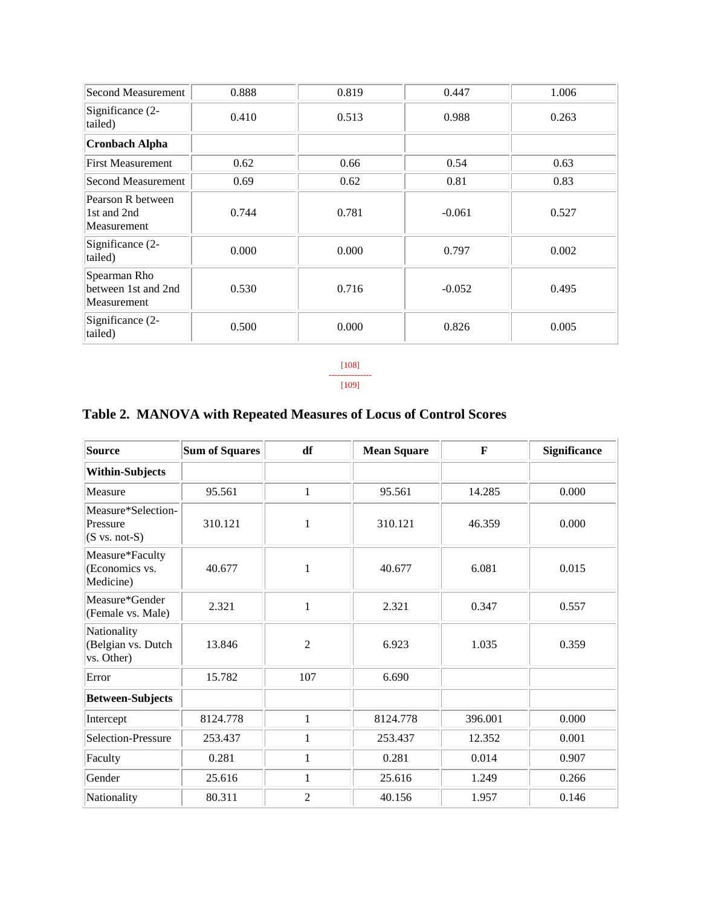| Second Measurement                                 | 0.888 | 0.819 | 0.447    | 1.006 |
|----------------------------------------------------|-------|-------|----------|-------|
| Significance (2-<br>tailed)                        | 0.410 | 0.513 | 0.988    | 0.263 |
| <b>Cronbach Alpha</b>                              |       |       |          |       |
| <b>First Measurement</b>                           | 0.62  | 0.66  | 0.54     | 0.63  |
| Second Measurement                                 | 0.69  | 0.62  | 0.81     | 0.83  |
| Pearson R between<br>1st and 2nd<br>Measurement    | 0.744 | 0.781 | $-0.061$ | 0.527 |
| Significance (2-<br>tailed)                        | 0.000 | 0.000 | 0.797    | 0.002 |
| Spearman Rho<br>between 1st and 2nd<br>Measurement | 0.530 | 0.716 | $-0.052$ | 0.495 |
| Significance (2-<br>tailed)                        | 0.500 | 0.000 | 0.826    | 0.005 |

[108] --------------- [109]

# **Source Sum of Squares df Mean Square F Significance Within-Subjects** Measure  $\begin{array}{|c|c|c|c|c|c|c|c|} \hline \text{Measure} & \text{95.561} & 1 & 95.561 & 14.285 & 0.000 \hline \end{array}$ Measure\*Selection-Pressure  $(S \text{ vs. not-S})$ 310.121 || 1 || 310.121 || 46.359 || 0.000 Measure\*Faculty (Economics vs. Medicine) 40.677 | 1 | 40.677 | 6.081 | 0.015 Measure\*Gender Measure Gender  $\begin{array}{|l|c|c|c|c|c|c|c|c|} \hline \text{Measure} & 2.321 & 1 & 2.321 & 0.347 & 0.557 \ \hline \end{array}$ **Nationality** (Belgian vs. Dutch  $vs.$  Other) 13.846 | 2 | 6.923 | 1.035 | 0.359 Error 15.782 107 6.690 **Between-Subjects** Intercept | 8124.778 | 1 | 8124.778 | 396.001 | 0.000 Selection-Pressure 253.437 1 253.437 12.352 0.001 Faculty 1 0.281 1 0.281 0.014 0.907 Gender | 25.616 | 1 | 25.616 | 1.249 | 0.266 Nationality | 80.311 | 2 | 40.156 | 1.957 | 0.146

# **Table 2. MANOVA with Repeated Measures of Locus of Control Scores**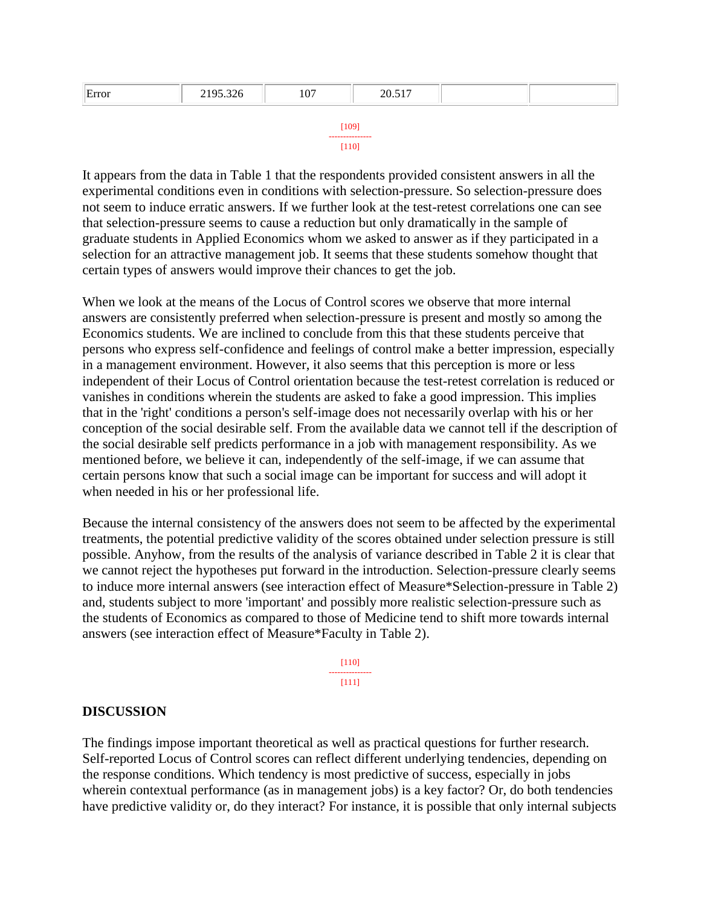| Error | 2195.326 | 107   | 20.517 |  |
|-------|----------|-------|--------|--|
|       |          |       |        |  |
|       |          | [109] |        |  |

| ---------------- |  |  |  |  |  |  |  |
|------------------|--|--|--|--|--|--|--|
|                  |  |  |  |  |  |  |  |

It appears from the data in Table 1 that the respondents provided consistent answers in all the experimental conditions even in conditions with selection-pressure. So selection-pressure does not seem to induce erratic answers. If we further look at the test-retest correlations one can see that selection-pressure seems to cause a reduction but only dramatically in the sample of graduate students in Applied Economics whom we asked to answer as if they participated in a selection for an attractive management job. It seems that these students somehow thought that certain types of answers would improve their chances to get the job.

When we look at the means of the Locus of Control scores we observe that more internal answers are consistently preferred when selection-pressure is present and mostly so among the Economics students. We are inclined to conclude from this that these students perceive that persons who express self-confidence and feelings of control make a better impression, especially in a management environment. However, it also seems that this perception is more or less independent of their Locus of Control orientation because the test-retest correlation is reduced or vanishes in conditions wherein the students are asked to fake a good impression. This implies that in the 'right' conditions a person's self-image does not necessarily overlap with his or her conception of the social desirable self. From the available data we cannot tell if the description of the social desirable self predicts performance in a job with management responsibility. As we mentioned before, we believe it can, independently of the self-image, if we can assume that certain persons know that such a social image can be important for success and will adopt it when needed in his or her professional life.

Because the internal consistency of the answers does not seem to be affected by the experimental treatments, the potential predictive validity of the scores obtained under selection pressure is still possible. Anyhow, from the results of the analysis of variance described in Table 2 it is clear that we cannot reject the hypotheses put forward in the introduction. Selection-pressure clearly seems to induce more internal answers (see interaction effect of Measure\*Selection-pressure in Table 2) and, students subject to more 'important' and possibly more realistic selection-pressure such as the students of Economics as compared to those of Medicine tend to shift more towards internal answers (see interaction effect of Measure\*Faculty in Table 2).

> [110] --------------- [111]

### **DISCUSSION**

The findings impose important theoretical as well as practical questions for further research. Self-reported Locus of Control scores can reflect different underlying tendencies, depending on the response conditions. Which tendency is most predictive of success, especially in jobs wherein contextual performance (as in management jobs) is a key factor? Or, do both tendencies have predictive validity or, do they interact? For instance, it is possible that only internal subjects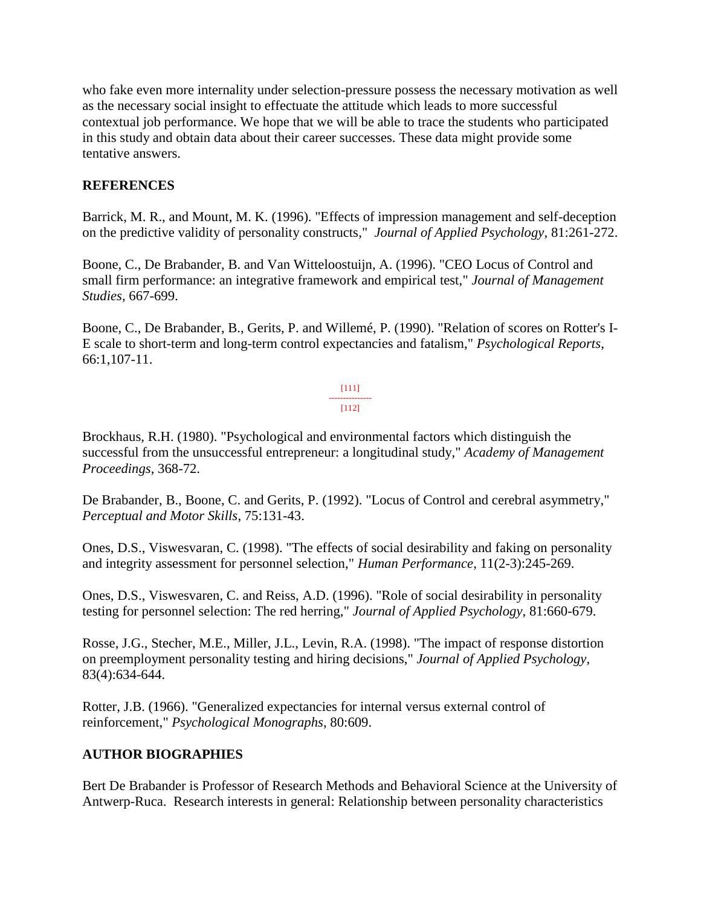who fake even more internality under selection-pressure possess the necessary motivation as well as the necessary social insight to effectuate the attitude which leads to more successful contextual job performance. We hope that we will be able to trace the students who participated in this study and obtain data about their career successes. These data might provide some tentative answers.

# **REFERENCES**

Barrick, M. R., and Mount, M. K. (1996). "Effects of impression management and self-deception on the predictive validity of personality constructs," *Journal of Applied Psychology*, 81:261-272.

Boone, C., De Brabander, B. and Van Witteloostuijn, A. (1996). "CEO Locus of Control and small firm performance: an integrative framework and empirical test," *Journal of Management Studies*, 667-699.

Boone, C., De Brabander, B., Gerits, P. and Willemé, P. (1990). "Relation of scores on Rotter's I-E scale to short-term and long-term control expectancies and fatalism," *Psychological Reports*, 66:1,107-11.

> [111] --------------- [112]

Brockhaus, R.H. (1980). "Psychological and environmental factors which distinguish the successful from the unsuccessful entrepreneur: a longitudinal study," *Academy of Management Proceedings*, 368-72.

De Brabander, B., Boone, C. and Gerits, P. (1992). "Locus of Control and cerebral asymmetry," *Perceptual and Motor Skills*, 75:131-43.

Ones, D.S., Viswesvaran, C. (1998). "The effects of social desirability and faking on personality and integrity assessment for personnel selection," *Human Performance*, 11(2-3):245-269.

Ones, D.S., Viswesvaren, C. and Reiss, A.D. (1996). "Role of social desirability in personality testing for personnel selection: The red herring," *Journal of Applied Psychology*, 81:660-679.

Rosse, J.G., Stecher, M.E., Miller, J.L., Levin, R.A. (1998). "The impact of response distortion on preemployment personality testing and hiring decisions," *Journal of Applied Psychology*, 83(4):634-644.

Rotter, J.B. (1966). "Generalized expectancies for internal versus external control of reinforcement," *Psychological Monographs*, 80:609.

# **AUTHOR BIOGRAPHIES**

Bert De Brabander is Professor of Research Methods and Behavioral Science at the University of Antwerp-Ruca. Research interests in general: Relationship between personality characteristics